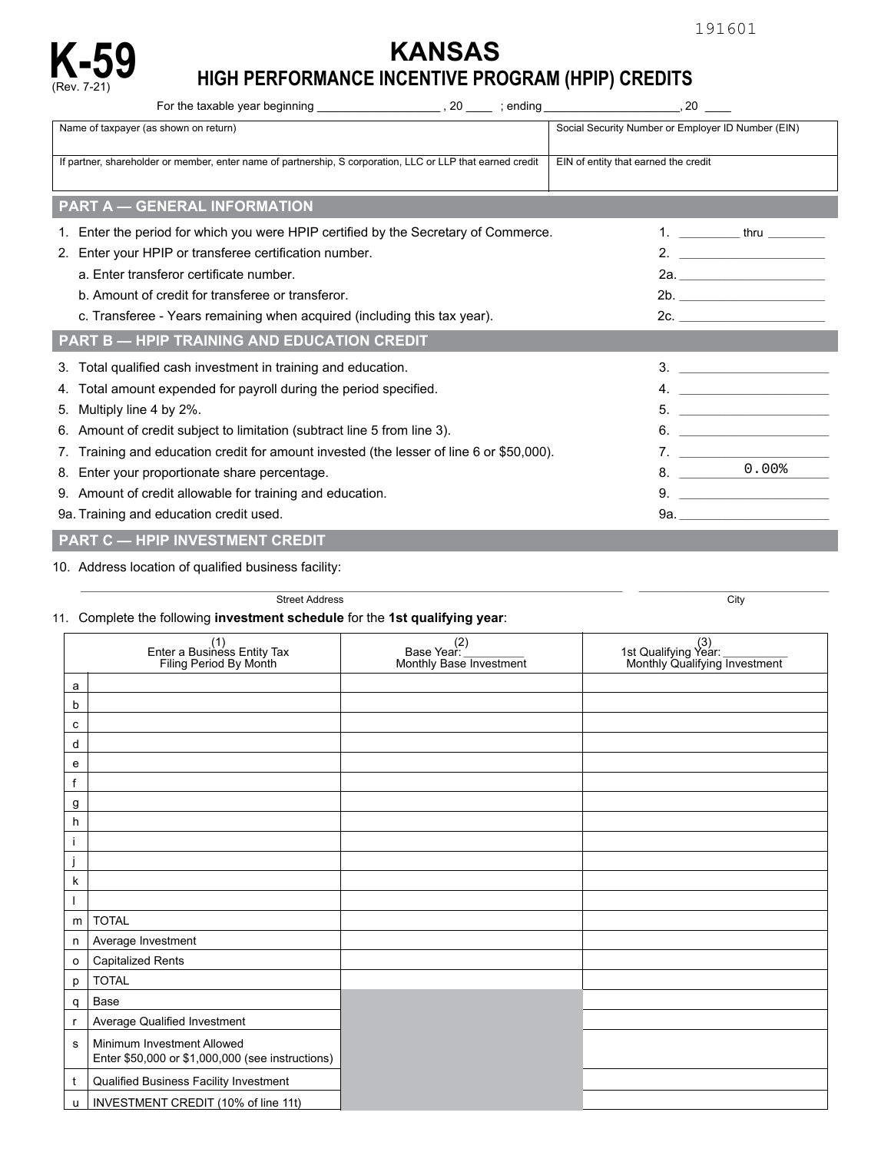# **KANSAS K-59 HIGH PERFORMANCE INCENTIVE PROGRAM (HPIP) CREDITS** (Rev. 7-21)

| Name of taxpayer (as shown on return)                                                                      | Social Security Number or Employer ID Number (EIN) |  |  |  |  |  |  |  |  |
|------------------------------------------------------------------------------------------------------------|----------------------------------------------------|--|--|--|--|--|--|--|--|
| If partner, shareholder or member, enter name of partnership, S corporation, LLC or LLP that earned credit | EIN of entity that earned the credit               |  |  |  |  |  |  |  |  |
| <b>PART A - GENERAL INFORMATION</b>                                                                        |                                                    |  |  |  |  |  |  |  |  |
| 1. Enter the period for which you were HPIP certified by the Secretary of Commerce.                        | 1. ______________ thru ___________                 |  |  |  |  |  |  |  |  |
| Enter your HPIP or transferee certification number.<br>2.                                                  | $2.$ $\overline{\phantom{a}}$                      |  |  |  |  |  |  |  |  |
| a. Enter transferor certificate number.                                                                    |                                                    |  |  |  |  |  |  |  |  |
| b. Amount of credit for transferee or transferor.                                                          | 2b.                                                |  |  |  |  |  |  |  |  |
| c. Transferee - Years remaining when acquired (including this tax year).                                   |                                                    |  |  |  |  |  |  |  |  |
| <b>PART B - HPIP TRAINING AND EDUCATION CREDIT</b>                                                         |                                                    |  |  |  |  |  |  |  |  |
| Total qualified cash investment in training and education.<br>3.                                           |                                                    |  |  |  |  |  |  |  |  |
| Total amount expended for payroll during the period specified.<br>4.                                       | 4. $\overline{\phantom{a}}$                        |  |  |  |  |  |  |  |  |
| Multiply line 4 by 2%.<br>5.                                                                               |                                                    |  |  |  |  |  |  |  |  |
| Amount of credit subject to limitation (subtract line 5 from line 3).<br>6.                                |                                                    |  |  |  |  |  |  |  |  |
| Training and education credit for amount invested (the lesser of line 6 or \$50,000).                      | 7.                                                 |  |  |  |  |  |  |  |  |
| 8. Enter your proportionate share percentage.                                                              | $8. \underline{\hspace{1.5cm}0.008}$               |  |  |  |  |  |  |  |  |
| 9. Amount of credit allowable for training and education.                                                  |                                                    |  |  |  |  |  |  |  |  |
| 9a. Training and education credit used.                                                                    |                                                    |  |  |  |  |  |  |  |  |
| <b>PART C - HPIP INVESTMENT CREDIT</b>                                                                     |                                                    |  |  |  |  |  |  |  |  |

## 10. Address location of qualified business facility:

\_\_\_\_\_\_\_\_\_\_\_\_\_\_\_\_\_\_\_\_\_\_\_\_\_\_\_\_\_\_\_\_\_\_\_\_\_\_\_\_\_\_\_\_\_\_\_\_\_\_\_\_\_\_\_\_\_\_\_\_\_\_\_\_\_\_\_\_\_\_\_\_\_\_\_\_\_\_\_\_\_\_\_\_\_\_\_\_\_\_\_\_\_\_\_\_\_\_\_\_\_\_\_\_\_\_\_\_\_\_\_\_\_\_\_\_\_\_\_\_\_\_\_\_\_\_\_\_\_\_\_\_\_\_ \_\_\_\_\_\_\_\_\_\_\_\_\_\_\_\_\_\_\_\_\_\_\_\_\_\_\_\_\_\_\_\_\_\_\_\_\_\_\_\_\_\_\_\_\_\_\_ Street Address City

### 11. Complete the following investment schedule for the 1st qualifying year:

|                | (1)<br>Enter a Business Entity Tax<br>Filing Period By Month                   | (2)<br>_ :Base Year<br>Monthly Base Investment | 3)<br>1st Qualifying Year:<br>Monthly Qualifying Investment |  |  |
|----------------|--------------------------------------------------------------------------------|------------------------------------------------|-------------------------------------------------------------|--|--|
| a              |                                                                                |                                                |                                                             |  |  |
| b              |                                                                                |                                                |                                                             |  |  |
| с              |                                                                                |                                                |                                                             |  |  |
| d              |                                                                                |                                                |                                                             |  |  |
| e              |                                                                                |                                                |                                                             |  |  |
| f              |                                                                                |                                                |                                                             |  |  |
| g              |                                                                                |                                                |                                                             |  |  |
| h              |                                                                                |                                                |                                                             |  |  |
| j              |                                                                                |                                                |                                                             |  |  |
| j              |                                                                                |                                                |                                                             |  |  |
| k              |                                                                                |                                                |                                                             |  |  |
|                |                                                                                |                                                |                                                             |  |  |
| m              | <b>TOTAL</b>                                                                   |                                                |                                                             |  |  |
| n              | Average Investment                                                             |                                                |                                                             |  |  |
| $\mathsf{o}\,$ | <b>Capitalized Rents</b>                                                       |                                                |                                                             |  |  |
| p              | <b>TOTAL</b>                                                                   |                                                |                                                             |  |  |
| q              | Base                                                                           |                                                |                                                             |  |  |
|                | Average Qualified Investment                                                   |                                                |                                                             |  |  |
| s              | Minimum Investment Allowed<br>Enter \$50,000 or \$1,000,000 (see instructions) |                                                |                                                             |  |  |
| t              | Qualified Business Facility Investment                                         |                                                |                                                             |  |  |
| u              | INVESTMENT CREDIT (10% of line 11t)                                            |                                                |                                                             |  |  |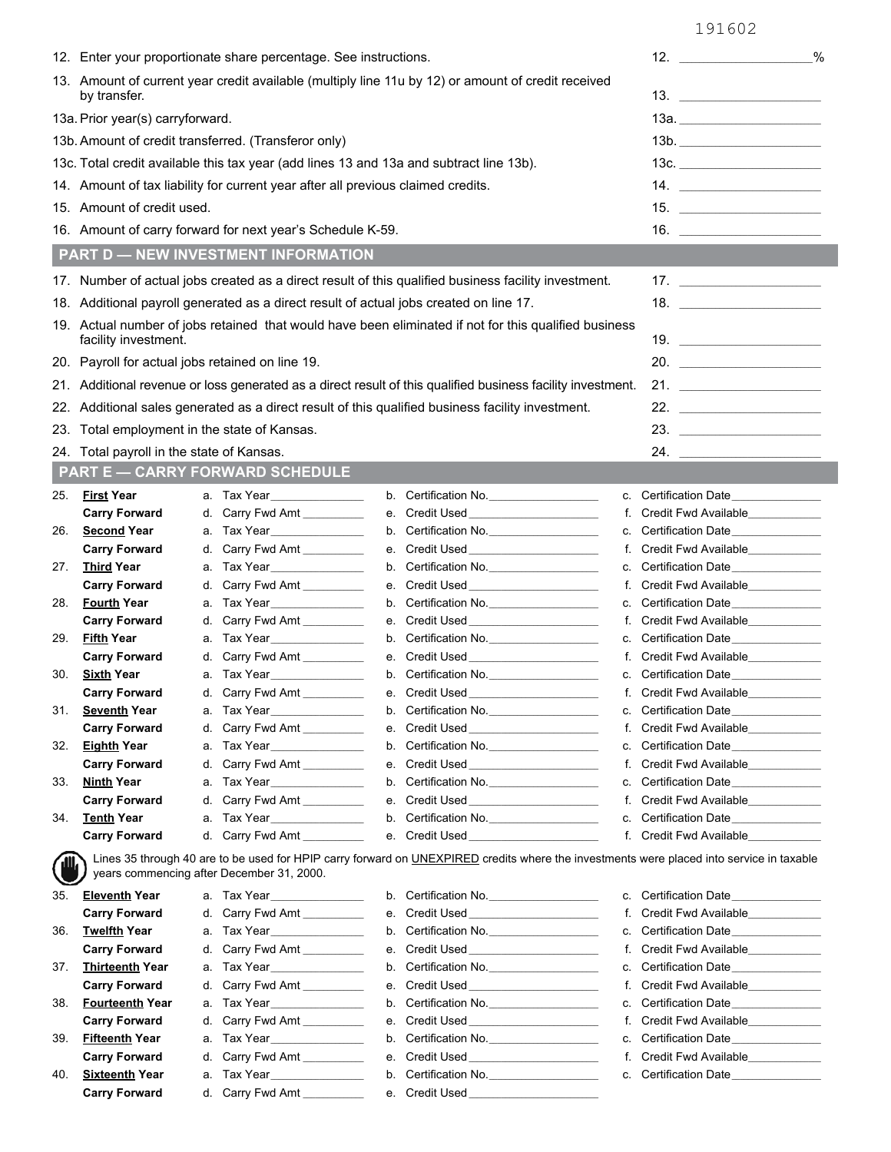|                                                                                                                    | 12. Enter your proportionate share percentage. See instructions.                                                                                                                               |          |                                                                                                                                                                                                                                                                                                     |          |                                                                                                                                                                                                                                      |          |                                                                                                                                                                                                                                                                             | 12.<br>%                                                       |  |
|--------------------------------------------------------------------------------------------------------------------|------------------------------------------------------------------------------------------------------------------------------------------------------------------------------------------------|----------|-----------------------------------------------------------------------------------------------------------------------------------------------------------------------------------------------------------------------------------------------------------------------------------------------------|----------|--------------------------------------------------------------------------------------------------------------------------------------------------------------------------------------------------------------------------------------|----------|-----------------------------------------------------------------------------------------------------------------------------------------------------------------------------------------------------------------------------------------------------------------------------|----------------------------------------------------------------|--|
| 13. Amount of current year credit available (multiply line 11u by 12) or amount of credit received<br>by transfer. |                                                                                                                                                                                                |          |                                                                                                                                                                                                                                                                                                     |          |                                                                                                                                                                                                                                      |          | 13. $\frac{1}{2}$ = 0.000 $\frac{1}{2}$ = 0.000 $\frac{1}{2}$ = 0.000 $\frac{1}{2}$ = 0.000 $\frac{1}{2}$ = 0.000 $\frac{1}{2}$ = 0.000 $\frac{1}{2}$ = 0.000 $\frac{1}{2}$ = 0.000 $\frac{1}{2}$ = 0.000 $\frac{1}{2}$ = 0.000 $\frac{1}{2}$ = 0.000 $\frac{1}{2}$ = 0.000 |                                                                |  |
|                                                                                                                    | 13a. Prior year(s) carryforward.                                                                                                                                                               |          |                                                                                                                                                                                                                                                                                                     |          |                                                                                                                                                                                                                                      |          |                                                                                                                                                                                                                                                                             | 13a. _________________________                                 |  |
|                                                                                                                    |                                                                                                                                                                                                |          | 13b. Amount of credit transferred. (Transferor only)                                                                                                                                                                                                                                                |          |                                                                                                                                                                                                                                      |          |                                                                                                                                                                                                                                                                             |                                                                |  |
|                                                                                                                    |                                                                                                                                                                                                |          |                                                                                                                                                                                                                                                                                                     |          | 13c. Total credit available this tax year (add lines 13 and 13a and subtract line 13b).                                                                                                                                              |          |                                                                                                                                                                                                                                                                             | 13c. _________________________                                 |  |
|                                                                                                                    |                                                                                                                                                                                                |          | 14. $\frac{1}{2}$ = $\frac{1}{2}$ = $\frac{1}{2}$ = $\frac{1}{2}$ = $\frac{1}{2}$ = $\frac{1}{2}$ = $\frac{1}{2}$ = $\frac{1}{2}$ = $\frac{1}{2}$ = $\frac{1}{2}$ = $\frac{1}{2}$ = $\frac{1}{2}$ = $\frac{1}{2}$ = $\frac{1}{2}$ = $\frac{1}{2}$ = $\frac{1}{2}$ = $\frac{1}{2}$ = $\frac{1}{2}$ = |          |                                                                                                                                                                                                                                      |          |                                                                                                                                                                                                                                                                             |                                                                |  |
|                                                                                                                    | 14. Amount of tax liability for current year after all previous claimed credits.<br>15. Amount of credit used.                                                                                 |          |                                                                                                                                                                                                                                                                                                     |          |                                                                                                                                                                                                                                      |          |                                                                                                                                                                                                                                                                             | 15.                                                            |  |
| 16. Amount of carry forward for next year's Schedule K-59.                                                         |                                                                                                                                                                                                |          |                                                                                                                                                                                                                                                                                                     |          |                                                                                                                                                                                                                                      |          |                                                                                                                                                                                                                                                                             |                                                                |  |
|                                                                                                                    |                                                                                                                                                                                                |          | <b>PART D - NEW INVESTMENT INFORMATION</b>                                                                                                                                                                                                                                                          |          |                                                                                                                                                                                                                                      |          |                                                                                                                                                                                                                                                                             |                                                                |  |
|                                                                                                                    |                                                                                                                                                                                                |          |                                                                                                                                                                                                                                                                                                     |          |                                                                                                                                                                                                                                      |          |                                                                                                                                                                                                                                                                             | 17.                                                            |  |
|                                                                                                                    | 17. Number of actual jobs created as a direct result of this qualified business facility investment.<br>18. Additional payroll generated as a direct result of actual jobs created on line 17. |          |                                                                                                                                                                                                                                                                                                     |          |                                                                                                                                                                                                                                      |          |                                                                                                                                                                                                                                                                             |                                                                |  |
|                                                                                                                    |                                                                                                                                                                                                |          |                                                                                                                                                                                                                                                                                                     |          | 19. Actual number of jobs retained that would have been eliminated if not for this qualified business                                                                                                                                |          |                                                                                                                                                                                                                                                                             |                                                                |  |
|                                                                                                                    | facility investment.                                                                                                                                                                           |          |                                                                                                                                                                                                                                                                                                     |          |                                                                                                                                                                                                                                      |          |                                                                                                                                                                                                                                                                             |                                                                |  |
|                                                                                                                    | 20. Payroll for actual jobs retained on line 19.                                                                                                                                               |          |                                                                                                                                                                                                                                                                                                     |          |                                                                                                                                                                                                                                      |          |                                                                                                                                                                                                                                                                             | 20.                                                            |  |
|                                                                                                                    |                                                                                                                                                                                                |          |                                                                                                                                                                                                                                                                                                     |          | 21. Additional revenue or loss generated as a direct result of this qualified business facility investment.                                                                                                                          |          |                                                                                                                                                                                                                                                                             | 21. $\qquad \qquad$                                            |  |
|                                                                                                                    |                                                                                                                                                                                                |          |                                                                                                                                                                                                                                                                                                     |          | 22. Additional sales generated as a direct result of this qualified business facility investment.                                                                                                                                    |          |                                                                                                                                                                                                                                                                             |                                                                |  |
|                                                                                                                    | 23. Total employment in the state of Kansas.                                                                                                                                                   |          |                                                                                                                                                                                                                                                                                                     |          |                                                                                                                                                                                                                                      |          |                                                                                                                                                                                                                                                                             | 23.                                                            |  |
|                                                                                                                    | 24. Total payroll in the state of Kansas.                                                                                                                                                      |          |                                                                                                                                                                                                                                                                                                     |          |                                                                                                                                                                                                                                      |          |                                                                                                                                                                                                                                                                             | 24.                                                            |  |
|                                                                                                                    |                                                                                                                                                                                                |          | <b>PART E - CARRY FORWARD SCHEDULE</b>                                                                                                                                                                                                                                                              |          |                                                                                                                                                                                                                                      |          |                                                                                                                                                                                                                                                                             |                                                                |  |
| 25.                                                                                                                | <b>First Year</b>                                                                                                                                                                              |          | a. Tax Year                                                                                                                                                                                                                                                                                         |          | b. Certification No.                                                                                                                                                                                                                 |          |                                                                                                                                                                                                                                                                             | c. Certification Date                                          |  |
|                                                                                                                    | <b>Carry Forward</b>                                                                                                                                                                           |          | d. Carry Fwd Amt __________                                                                                                                                                                                                                                                                         |          | e. Credit Used <b>Example 20</b>                                                                                                                                                                                                     |          |                                                                                                                                                                                                                                                                             | f. Credit Fwd Available____________                            |  |
| 26.                                                                                                                | <b>Second Year</b>                                                                                                                                                                             |          | a. Tax Year_________________                                                                                                                                                                                                                                                                        |          | b. Certification No.                                                                                                                                                                                                                 |          |                                                                                                                                                                                                                                                                             | c. Certification Date______________                            |  |
|                                                                                                                    | <b>Carry Forward</b>                                                                                                                                                                           |          | d. Carry Fwd Amt                                                                                                                                                                                                                                                                                    |          |                                                                                                                                                                                                                                      |          |                                                                                                                                                                                                                                                                             | f. Credit Fwd Available___________                             |  |
| 27.                                                                                                                | <b>Third Year</b>                                                                                                                                                                              |          |                                                                                                                                                                                                                                                                                                     |          | b. Certification No.                                                                                                                                                                                                                 |          |                                                                                                                                                                                                                                                                             | c. Certification Date______________                            |  |
|                                                                                                                    | <b>Carry Forward</b>                                                                                                                                                                           |          | d. Carry Fwd Amt                                                                                                                                                                                                                                                                                    |          |                                                                                                                                                                                                                                      |          |                                                                                                                                                                                                                                                                             | f. Credit Fwd Available____________                            |  |
| 28.                                                                                                                | <b>Fourth Year</b><br><b>Carry Forward</b>                                                                                                                                                     |          | d. Carry Fwd Amt __________                                                                                                                                                                                                                                                                         |          | b. Certification No.                                                                                                                                                                                                                 |          |                                                                                                                                                                                                                                                                             | c. Certification Date______________<br>f. Credit Fwd Available |  |
| 29.                                                                                                                | <b>Fifth Year</b>                                                                                                                                                                              |          | a. Tax Year_________________                                                                                                                                                                                                                                                                        |          | b. Certification No.                                                                                                                                                                                                                 |          |                                                                                                                                                                                                                                                                             | c. Certification Date______________                            |  |
|                                                                                                                    | <b>Carry Forward</b>                                                                                                                                                                           |          | d. Carry Fwd Amt                                                                                                                                                                                                                                                                                    |          |                                                                                                                                                                                                                                      |          |                                                                                                                                                                                                                                                                             | f. Credit Fwd Available___________                             |  |
| 30.                                                                                                                | <b>Sixth Year</b>                                                                                                                                                                              |          |                                                                                                                                                                                                                                                                                                     |          | b. Certification No.                                                                                                                                                                                                                 |          |                                                                                                                                                                                                                                                                             | c. Certification Date______________                            |  |
|                                                                                                                    | <b>Carry Forward</b>                                                                                                                                                                           |          | d. Carry Fwd Amt                                                                                                                                                                                                                                                                                    |          | e. Credit Used                                                                                                                                                                                                                       |          | f. Credit Fwd Available                                                                                                                                                                                                                                                     |                                                                |  |
| 31.                                                                                                                | <b>Seventh Year</b>                                                                                                                                                                            |          |                                                                                                                                                                                                                                                                                                     | b.       | Certification No.                                                                                                                                                                                                                    | С.       |                                                                                                                                                                                                                                                                             | Certification Date______________                               |  |
|                                                                                                                    | <b>Carry Forward</b>                                                                                                                                                                           | d.       | Carry Fwd Amt                                                                                                                                                                                                                                                                                       | e.       | Credit Used ______________________                                                                                                                                                                                                   | f.       |                                                                                                                                                                                                                                                                             | Credit Fwd Available____________                               |  |
| 32.                                                                                                                | <b>Eighth Year</b>                                                                                                                                                                             | а.       | Tax Year_______________                                                                                                                                                                                                                                                                             | b.       | Certification No.                                                                                                                                                                                                                    | C.       |                                                                                                                                                                                                                                                                             | Certification Date_______________                              |  |
|                                                                                                                    | <b>Carry Forward</b>                                                                                                                                                                           | d.       | Carry Fwd Amt                                                                                                                                                                                                                                                                                       | е.       | Credit Used________________________                                                                                                                                                                                                  | f.       |                                                                                                                                                                                                                                                                             | Credit Fwd Available____________                               |  |
| 33.                                                                                                                | <b>Ninth Year</b><br><b>Carry Forward</b>                                                                                                                                                      | а.<br>d. | Tax Year______________<br>Carry Fwd Amt                                                                                                                                                                                                                                                             | b.<br>е. | Certification No.<br>Credit Used________________________                                                                                                                                                                             | C.<br>f. |                                                                                                                                                                                                                                                                             | Certification Date<br>Credit Fwd Available____________         |  |
| 34.                                                                                                                | <b>Tenth Year</b>                                                                                                                                                                              | а.       | Tax Year_______________                                                                                                                                                                                                                                                                             | b.       | Certification No.                                                                                                                                                                                                                    | c.       |                                                                                                                                                                                                                                                                             | Certification Date_______________                              |  |
|                                                                                                                    | <b>Carry Forward</b>                                                                                                                                                                           |          | d. Carry Fwd Amt                                                                                                                                                                                                                                                                                    | е.       | Credit Used ________________________                                                                                                                                                                                                 |          |                                                                                                                                                                                                                                                                             | f. Credit Fwd Available____________                            |  |
| 'W.                                                                                                                |                                                                                                                                                                                                |          | years commencing after December 31, 2000.                                                                                                                                                                                                                                                           |          | Lines 35 through 40 are to be used for HPIP carry forward on UNEXPIRED credits where the investments were placed into service in taxable                                                                                             |          |                                                                                                                                                                                                                                                                             |                                                                |  |
| 35.                                                                                                                | <b>Eleventh Year</b>                                                                                                                                                                           |          |                                                                                                                                                                                                                                                                                                     |          | b. Certification No.                                                                                                                                                                                                                 | c.       |                                                                                                                                                                                                                                                                             | Certification Date                                             |  |
|                                                                                                                    | <b>Carry Forward</b>                                                                                                                                                                           | d.       | Carry Fwd Amt                                                                                                                                                                                                                                                                                       | е.       | Credit Used <b>Exercise Service Service Service Service Service Service Service Service Service Service Service Service Service Service Service Service Service Service Service Service Service Service Service Service Service </b> | f.       |                                                                                                                                                                                                                                                                             | Credit Fwd Available                                           |  |
| 36.                                                                                                                | <b>Twelfth Year</b>                                                                                                                                                                            | а.       | Tax Year_______________                                                                                                                                                                                                                                                                             | b.       | Certification No.                                                                                                                                                                                                                    | C.       |                                                                                                                                                                                                                                                                             | Certification Date______________                               |  |
|                                                                                                                    | <b>Carry Forward</b>                                                                                                                                                                           | d.       | Carry Fwd Amt                                                                                                                                                                                                                                                                                       | е.       | Credit Used_______________________                                                                                                                                                                                                   | f.       |                                                                                                                                                                                                                                                                             | Credit Fwd Available____________                               |  |
| 37.                                                                                                                | <b>Thirteenth Year</b>                                                                                                                                                                         | а.       | Tax Year______________                                                                                                                                                                                                                                                                              | b.       | Certification No.                                                                                                                                                                                                                    | С.       |                                                                                                                                                                                                                                                                             | Certification Date______________                               |  |
|                                                                                                                    | <b>Carry Forward</b>                                                                                                                                                                           | d.       | Carry Fwd Amt                                                                                                                                                                                                                                                                                       | е.       | Credit Used <b>Exercise Service Service Service Service Service Service Service Service Service Service Service Service Service Service Service Service Service Service Service Service Service Service Service Service Service </b> | f.       |                                                                                                                                                                                                                                                                             | Credit Fwd Available                                           |  |
| 38.                                                                                                                | <b>Fourteenth Year</b>                                                                                                                                                                         | а.       | Tax Year                                                                                                                                                                                                                                                                                            | b.       | Certification No.                                                                                                                                                                                                                    | c.       |                                                                                                                                                                                                                                                                             | Certification Date                                             |  |
| 39.                                                                                                                | <b>Carry Forward</b><br><b>Fifteenth Year</b>                                                                                                                                                  | d.<br>а. | Carry Fwd Amt<br>Tax Year_______________                                                                                                                                                                                                                                                            | е.<br>b. | Credit Used_________________________<br>Certification No.                                                                                                                                                                            | f.<br>C. |                                                                                                                                                                                                                                                                             | Credit Fwd Available____________<br>Certification Date         |  |
|                                                                                                                    | <b>Carry Forward</b>                                                                                                                                                                           | d.       | Carry Fwd Amt _________                                                                                                                                                                                                                                                                             | е.       |                                                                                                                                                                                                                                      | f.       |                                                                                                                                                                                                                                                                             | Credit Fwd Available____________                               |  |
| 40.                                                                                                                | <b>Sixteenth Year</b>                                                                                                                                                                          | а.       | Tax Year________________                                                                                                                                                                                                                                                                            | b.       | Certification No.                                                                                                                                                                                                                    |          |                                                                                                                                                                                                                                                                             | c. Certification Date______________                            |  |
|                                                                                                                    | <b>Carry Forward</b>                                                                                                                                                                           |          | d. Carry Fwd Amt                                                                                                                                                                                                                                                                                    |          |                                                                                                                                                                                                                                      |          |                                                                                                                                                                                                                                                                             |                                                                |  |
|                                                                                                                    |                                                                                                                                                                                                |          |                                                                                                                                                                                                                                                                                                     |          |                                                                                                                                                                                                                                      |          |                                                                                                                                                                                                                                                                             |                                                                |  |

191602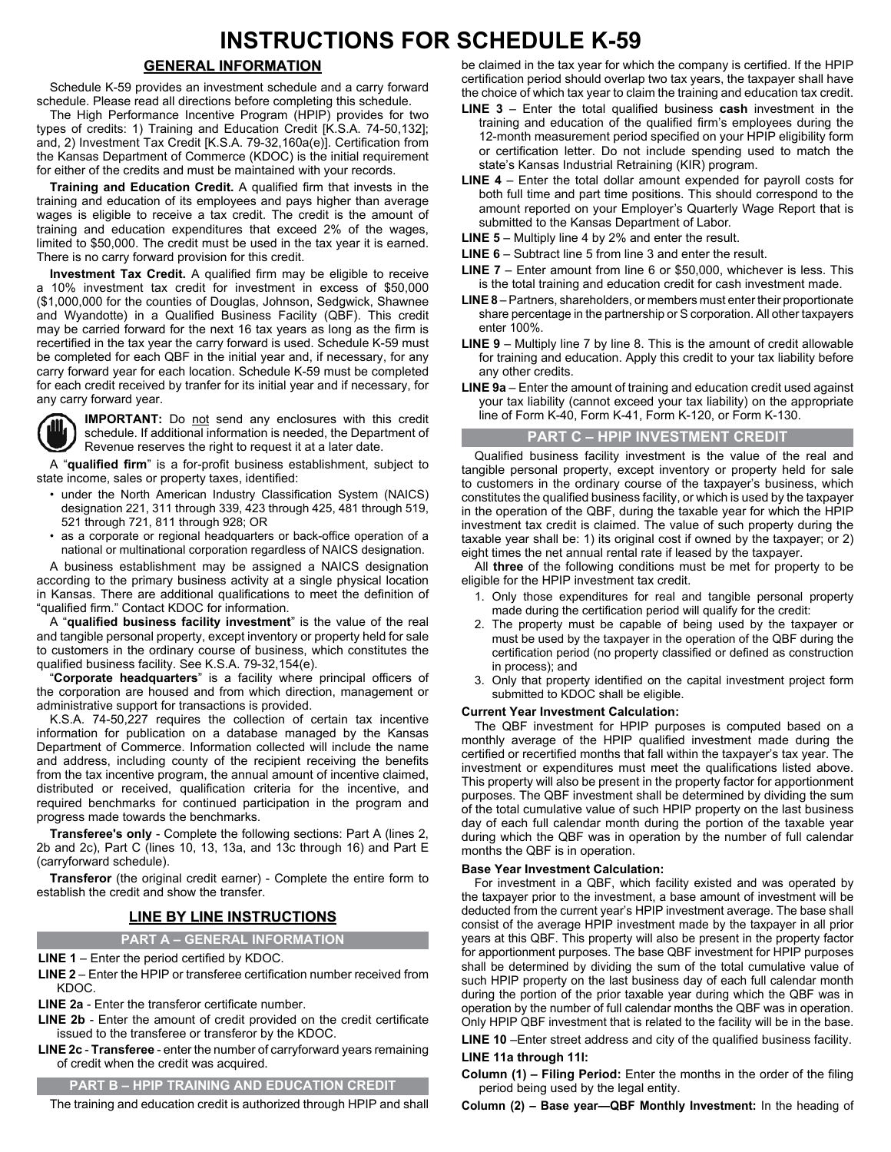## **INSTRUCTIONS FOR SCHEDULE K-59**

#### **GENERAL INFORMATION**

Schedule K-59 provides an investment schedule and a carry forward schedule. Please read all directions before completing this schedule.

The High Performance Incentive Program (HPIP) provides for two types of credits: 1) Training and Education Credit [K.S.A. 74-50,132]; and, 2) Investment Tax Credit [K.S.A. 79-32,160a(e)]. Certification from the Kansas Department of Commerce (KDOC) is the initial requirement for either of the credits and must be maintained with your records.

**Training and Education Credit.** A qualified firm that invests in the training and education of its employees and pays higher than average wages is eligible to receive a tax credit. The credit is the amount of training and education expenditures that exceed 2% of the wages, limited to \$50,000. The credit must be used in the tax year it is earned. There is no carry forward provision for this credit.

**Investment Tax Credit.** A qualified firm may be eligible to receive a 10% investment tax credit for investment in excess of \$50,000 (\$1,000,000 for the counties of Douglas, Johnson, Sedgwick, Shawnee and Wyandotte) in a Qualified Business Facility (QBF). This credit may be carried forward for the next 16 tax years as long as the firm is recertified in the tax year the carry forward is used. Schedule K-59 must be completed for each QBF in the initial year and, if necessary, for any carry forward year for each location. Schedule K-59 must be completed for each credit received by tranfer for its initial year and if necessary, for any carry forward year.



**IMPORTANT:** Do not send any enclosures with this credit schedule. If additional information is needed, the Department of Revenue reserves the right to request it at a later date.

A "qualified firm" is a for-profit business establishment, subject to state income, sales or property taxes, identified:

- under the North American Industry Classification System (NAICS) designation 221, 311 through 339, 423 through 425, 481 through 519, 521 through 721, 811 through 928; OR
- as a corporate or regional headquarters or back-office operation of a national or multinational corporation regardless of NAICS designation.

A business establishment may be assigned a NAICS designation according to the primary business activity at a single physical location in Kansas. There are additional qualifications to meet the definition of "qualified firm." Contact KDOC for information.

A "**qualified business facility investment**" is the value of the real and tangible personal property, except inventory or property held for sale to customers in the ordinary course of business, which constitutes the qualified business facility. See K.S.A. 79-32,154(e).

"Corporate headquarters" is a facility where principal officers of the corporation are housed and from which direction, management or administrative support for transactions is provided.

K.S.A. 74-50,227 requires the collection of certain tax incentive information for publication on a database managed by the Kansas Department of Commerce. Information collected will include the name and address, including county of the recipient receiving the benefits from the tax incentive program, the annual amount of incentive claimed, distributed or received, qualification criteria for the incentive, and required benchmarks for continued participation in the program and progress made towards the benchmarks.

**Transferee's only** - Complete the following sections: Part A (lines 2, 2b and 2c), Part C (lines 10, 13, 13a, and 13c through 16) and Part E (carryforward schedule).

**Transferor** (the original credit earner) - Complete the entire form to establish the credit and show the transfer.

### **LINE BY LINE INSTRUCTIONS**

**PART A – GENERAL INFORMATION**

**LINE 1** – Enter the period certified by KDOC.

**LINE 2** – Enter the HPIP or transferee certification number received from KDOC.

**LINE 2a** - Enter the transferor certificate number.

**LINE 2b** - Enter the amount of credit provided on the credit certificate issued to the transferee or transferor by the KDOC.

**LINE 2c - Transferee** - enter the number of carryforward years remaining of credit when the credit was acquired.

#### **PART B – HPIP TRAINING AND EDUCATION CREDIT**

The training and education credit is authorized through HPIP and shall

be claimed in the tax year for which the company is certified. If the HPIP certification period should overlap two tax years, the taxpayer shall have the choice of which tax year to claim the training and education tax credit.

- **LINE 3** Enter the total qualified business **cash** investment in the training and education of the qualified firm's employees during the 12-month measurement period specified on your HPIP eligibility form or certification letter. Do not include spending used to match the state's Kansas Industrial Retraining (KIR) program.
- **LINE 4** Enter the total dollar amount expended for payroll costs for both full time and part time positions. This should correspond to the amount reported on your Employer's Quarterly Wage Report that is submitted to the Kansas Department of Labor.
- **LINE 5**  Multiply line 4 by 2% and enter the result.
- **LINE 6** Subtract line 5 from line 3 and enter the result.
- **LINE 7** Enter amount from line 6 or \$50,000, whichever is less. This is the total training and education credit for cash investment made.
- **LINE 8** Partners, shareholders, or members must enter their proportionate share percentage in the partnership or S corporation. All other taxpayers enter 100%.
- **LINE 9** Multiply line 7 by line 8. This is the amount of credit allowable for training and education. Apply this credit to your tax liability before any other credits.
- **LINE 9a** Enter the amount of training and education credit used against your tax liability (cannot exceed your tax liability) on the appropriate line of Form K-40, Form K-41, Form K-120, or Form K-130.

#### **PART C – HPIP INVESTMENT CREDIT**

Qualified business facility investment is the value of the real and tangible personal property, except inventory or property held for sale to customers in the ordinary course of the taxpayer's business, which constitutes the qualified business facility, or which is used by the taxpayer in the operation of the QBF, during the taxable year for which the HPIP investment tax credit is claimed. The value of such property during the taxable year shall be: 1) its original cost if owned by the taxpayer; or 2) eight times the net annual rental rate if leased by the taxpayer.

All **three** of the following conditions must be met for property to be eligible for the HPIP investment tax credit.

- 1. Only those expenditures for real and tangible personal property made during the certification period will qualify for the credit:
- 2. The property must be capable of being used by the taxpayer or must be used by the taxpayer in the operation of the QBF during the certification period (no property classified or defined as construction in process); and
- 3. Only that property identified on the capital investment project form submitted to KDOC shall be eligible.

#### **Current Year Investment Calculation:**

The QBF investment for HPIP purposes is computed based on a monthly average of the HPIP qualified investment made during the certified or recertified months that fall within the taxpayer's tax year. The investment or expenditures must meet the qualifications listed above. This property will also be present in the property factor for apportionment purposes. The QBF investment shall be determined by dividing the sum of the total cumulative value of such HPIP property on the last business day of each full calendar month during the portion of the taxable year during which the QBF was in operation by the number of full calendar months the QBF is in operation.

#### **Base Year Investment Calculation:**

For investment in a QBF, which facility existed and was operated by the taxpayer prior to the investment, a base amount of investment will be deducted from the current year's HPIP investment average. The base shall consist of the average HPIP investment made by the taxpayer in all prior years at this QBF. This property will also be present in the property factor for apportionment purposes. The base QBF investment for HPIP purposes shall be determined by dividing the sum of the total cumulative value of such HPIP property on the last business day of each full calendar month during the portion of the prior taxable year during which the QBF was in operation by the number of full calendar months the QBF was in operation. Only HPIP QBF investment that is related to the facility will be in the base.

**LINE 10** –Enter street address and city of the qualified business facility. **LINE 11a through 11l:**

**Column (1) – Filing Period:** Enter the months in the order of the filing period being used by the legal entity.

**Column (2) – Base year—QBF Monthly Investment:** In the heading of